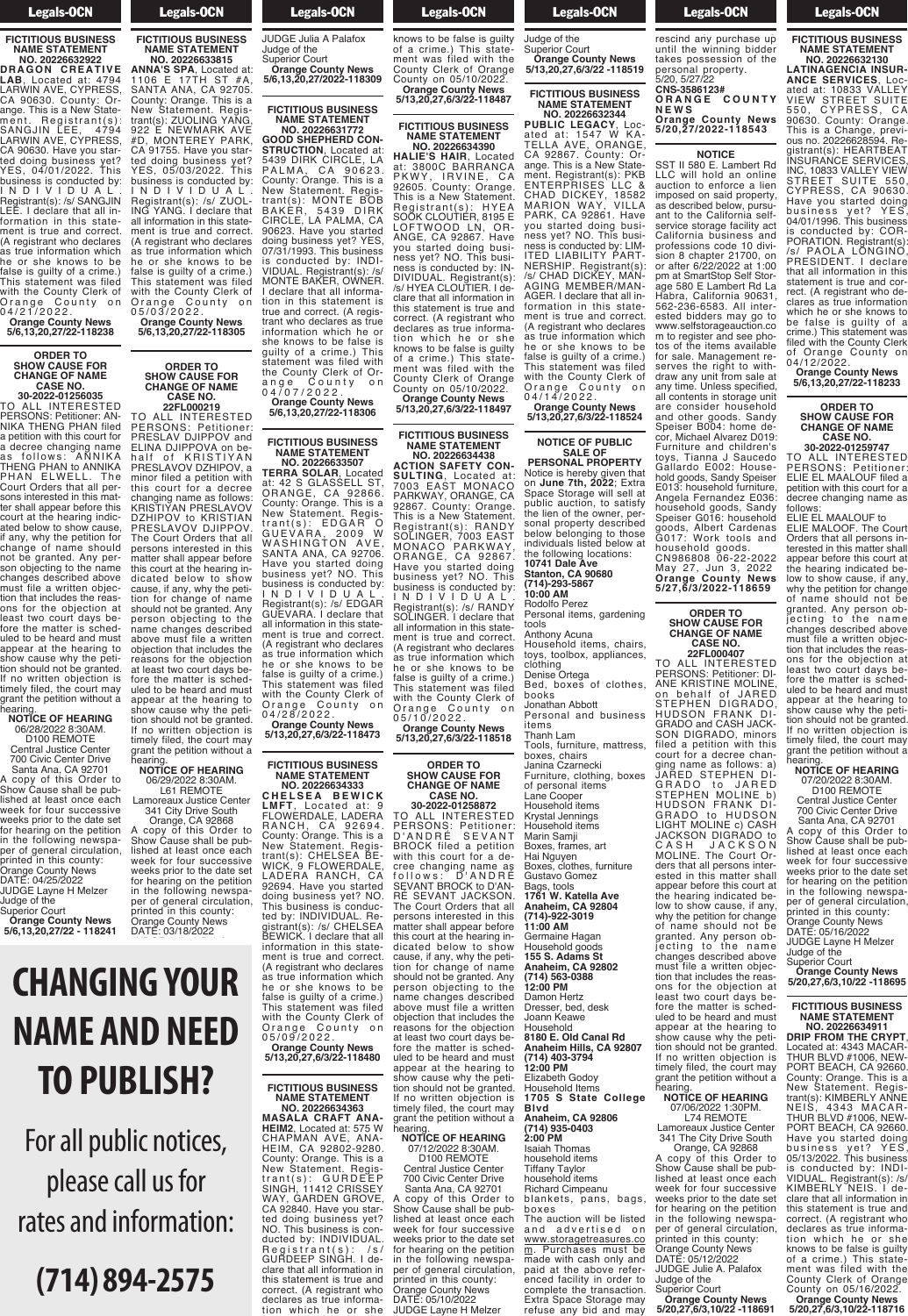## Legals-OCN

#### **FICTITIOUS BUSINESS NAME STATEMENT NO. 20226632922**

**DRAGON CREATIVE LAB**, Located at: 4794 LARWIN AVE, CYPRESS, CA 90630. County: Orange. This is a New Statement. Registrant(s): SANGJIN LEE, 4794 LARWIN AVE, CYPRESS, CA 90630. Have you started doing business yet? YES, 04/01/2022. This business is conducted by: I N D I V I D U A L . Registrant(s): /s/ SANGJIN LEE. I declare that all information in this statement is true and correct. (A registrant who declares as true information which he or she knows to be false is guilty of a crime.) This statement was filed with the County Clerk of Orange County on 0 4 / 2 1 / 2 0 2 2 .

#### **Orange County News 5/6,13,20,27/22-118238**

**ORDER TO SHOW CAUSE FOR CHANGE OF NAME CASE NO. 30-2022-01256035**

TO ALL INTERESTED PERSONS: Petitioner: AN-NIKA THENG PHAN filed a petition with this court for<br>a petition with this court for<br>a decree changing name a decree changing name as follows: ANNIKA THENG PHAN to ANNIKA PHAN ELWELL. The Court Orders that all persons interested in this matter shall appear before this court at the hearing indicated below to show cause, if any, why the petition for change of name should not be granted. Any person objecting to the name changes described above must file a written objecmust file a written objec-<br>tion that includes the reasons for the objection at least two court days before the matter is scheduled to be heard and must aled to be heard and must<br>appear at the hearing to<br>show cause why the petition should not be granted. If no written objection is timely filed, the court may grant the petition without a<br>bearing hearing. **NOTICE OF HEARING**

## 06/28/2022 8:30AM.

D100 REMOTE Central Justice Center 700 Civic Center Drive Santa Ana, CA 92701 A copy of this Order to

Show Cause shall be published at least once each week for four successive weeks prior to the date set for hearing on the petition in the following newspaper of general circulation, printed in this county: Orange County News DATE: 04/25/2022 JUDGE Layne H Melzer Judge of the

Superior Court **Orange County News 5/6,13,20,27/22 - 118241**

## **CHANGING YOUR**  Superior Court **Orange County News NAME AND NEED TO PUBLISH? 5/6,13,20,27/2022-118309**

DATE: 03/18/2022

For all public notices, please call us for rates and information:

# **(714) 894-2575**

## Legals-OCN

County: Orange. This is a New Statement. Regis-New Statement. Regis-<br>Trant(s): ZUOLING YANG<br>922 E NEWMARK AVE<br>#D, MONTEREY PARK, 922 E NEWMARK AVE #D, MONTEREY PARK, CA 91755. Have you started doing business yet? YES, 05/03/2022. This business is conducted by: I N D I V I D U A L . Registrant(s): /s/ ZUOL-ING YANG. I declare that all information in this statement is true and correct. (A registrant who declares as true information which<br>he or she knows to be or she knows to be false is guilty of a crime.) This statement was filed with the County Clerk of Orange County on

0 5 / 0 3 / 2 0 2 2 . **Orange County News 5/6,13,20,27/22-118305**

**ORDER TO SHOW CAUSE FOR CHANGE OF NAME CASE NO. 22FL000219** TO ALL INTERESTED PERSONS: Petitioner: PRESLAV DJIPPOV and ELINA DJIPPOVA on behalf of KRISTIYAN PRESLAVOV DZHIPOV, a minor filed a petition with this court for a decree changing name as follows: KRISTIYAN PRESLAVOV DZHIPOV to KRISTIAN PRESLAVOV DJIPPOV. The Court Orders that all persons interested in this matter shall appear before this court at the hearing indicated below to show cause, if any, why the petition for change of name should not be granted. Any person objecting to the

**FICTITIOUS BUSINESS NAME STATEMENT NO. 20226633815 ANNA'S SPA**, Located at:

Judge of the Superior Court **Orange County News 5/6,13,20,27/2022-118309** 1106 E 17TH ST #A, SANTA ANA, CA 92705.

**Example 12** Legals-OCN per of general circulation, which contains the contact of general circulation,  $\mathcal{L}_{\mathcal{A}}$ <u>Logaio</u> Cont DATE: 03/18/2022 JUDGE Julia A Palafox

**FICTITIOUS BUSINESS NAME STATEMENT NO. 20226631772 GOOD SHEPHERD CON-STRUCTION**, Located at: 5439 DIRK CIRCLE, LA PALMA, CA 90623. County: Orange. This is a New Statement. Registrant(s): MONTE BOB BAKER, 5439 DIRK CIRCLE, LA PALMA, CA 90623. Have you started doing business yet? YES, 07/31/1993. This business is conducted by: INDI-VIDUAL. Registrant(s): /s/ MONTE BAKER, OWNER. I declare that all information in this statement is true and correct. (A registrant who declares as true information which he or she knows to be false is guilty of a crime.) This

ange County on 0 4 / 0 7 / 2 0 2 2 . **Orange County News 5/6,13,20,27/22-118306**

statement was filed with the County Clerk of Or-

## **FICTITIOUS BUSINESS NAME STATEMENT**

**NO. 20226633507 TERRA SOLAR**, Located at: 42 S GLASSELL ST, ORANGE, CA 92866. County: Orange. This is a New Statement. Registrant(s): EDGAR O GUEVARA, 2009 W WASHINGTON AVE, SANTA ANA, CA 92706. Have you started doing business yet? NO. This business is conducted by: I N D I V I D U A L . Registrant(s): /s/ EDGAR GUEVARA. I declare that all information in this statement is true and correct. (A registrant who declares as true information which he or she knows to be false is guilty of a crime.) This statement was filed with the County Clerk of Orange County on 0 4 / 2 8 / 2 0 2 2 .

grant the petition without a hearing. **NOTICE OF HEARING** 06/29/2022 8:30AM. L61 REMOTE Lamoreaux Justice Center

341 City Drive South Orange, CA 92868 A copy of this Order to Show Cause shall be published at least once each week for four successive weeks prior to the date set for hearing on the petition in the following newspaper of general circulation, printed in this county: Orange County News

**Orange County News 5/13,20,27,6/3/22-118473**

**FICTITIOUS BUSINESS NAME STATEMENT NO. 20226634333 C H E L S E A B E W I C K LMFT**, Located at: 9 FLOWERDALE, LADERA RANCH, CA 92694. County: Orange. This is a New Statement. Registrant(s): CHELSEA BE-WICK, 9 FLOWERDALE,

LADERA RANCH, CA 92694. Have you started doing business yet? NO. This business is conducted by: INDIVIDUAL. Reted by: INDIVIDUAL. Registrant(s): /s/ CHELSEA BEWICK. I declare that all information in this statement is true and correct. (A registrant who declares as true information which he or she knows to be false is guilty of a crime.) This statement was filed with the County Clerk of Orange County on 0 5 / 0 9 / 2 0 2 2 .

**Orange County News 5/13,20,27,6/3/22-118480**

**FICTITIOUS BUSINESS NAME STATEMENT NO. 20226634363 MASALA CRAFT ANA-HEIM2**, Located at: 575 W CHAPMAN AVE, ANA-HEIM, CA 92802-9280.

County: Orange. This is a New Statement. Registrant(s): GURDEEP SINGH, 11412 CRISSEY WAY, GARDEN GROVE, CA 92840. Have you started doing business yet? NO. This business is conducted by: INDIVIDUAL. Registrant(s): /s/ GURDEEP SINGH. I declare that all information in this statement is true and correct. (A registrant who declares as true informa-<br>tion which he or she knows to be false is guilty

#### $\overline{\phantom{a}}$  declares  $\overline{\phantom{a}}$ tion which he or she

of a crime.) This statement was filed with the County Clerk of Orange County on 05/10/2022. **Orange County News**

**5/13,20,27,6/3/22-118487**

#### **FICTITIOUS BUSINESS NAME STATEMENT NO. 20226634390**

**HALIE'S HAIR**, Located at: 3800C BARRANCA PKWY, IRVINE, CA 92605. County: Orange. This is a New Statement. Registrant(s): HYEA SOOK CLOUTIER, 8195 E LOFTWOOD LN, OR-ANGE, CA 92867. Have you started doing business yet? NO. This business is conducted by: IN-DIVIDUAL. Registrant(s): /s/ HYEA CLOUTIER. I declare that all information in this statement is true and correct. (A registrant who declares as true information which he or she knows to be false is guilty of a crime.) This statement was filed with the County Clerk of Orange County on 05/10/2022. **Orange County News 5/13,20,27,6/3/22-118497**

#### **FICTITIOUS BUSINESS NAME STATEMENT NO. 20226634438**

**ACTION SAFETY CON-SULTING**, Located at: 7003 EAST MONACO PARKWAY, ORANGE, CA 92867. County: Orange. This is a New Statement. Registrant(s): RANDY SOLINGER, 7003 EAST MONACO PARKWAY, ORANGE, CA 92867. Have you started doing business yet? NO. This business is conducted by: I N D I V I D U A L . Registrant(s): /s/ RANDY SOLINGER. I declare that all information in this statement is true and correct. (A registrant who declares as true information which he or she knows to be false is guilty of a crime.) This statement was filed with the County Clerk of Orange County on 0 5 / 1 0 / 2 0 2 2 . **Orange County News**

**5/13,20,27,6/3/22-118518**

#### **ORDER TO SHOW CAUSE FOR CHANGE OF NAME CASE NO.**

**30-2022-01258872** TO ALL INTERESTED PERSONS: Petitioner: D ' A N D R É S E V A N T BROCK filed a petition with this court for a decree changing name as follows: D'ANDRÉ SEVANT BROCK to D'AN-RÉ SEVANT JACKSON. The Court Orders that all persons interested in this matter shall appear before this court at the hearing indicated below to show cause, if any, why the petition for change of name should not be granted. Any person objecting to the name changes described above must file a written objection that includes the reasons for the objection at least two court days before the matter is scheduled to be heard and must appear at the hearing to show cause why the petition should not be granted.<br>If no written objection is If no written objection is timely filed, the court may grant the petition without a hearing. **NOTICE OF HEARING** 07/12/2022 8:30AM.

D100 REMOTE Central Justice Center 700 Civic Center Drive

Santa Ana, CA 92701 A copy of this Order to Show Cause shall be published at least once each week for four successive weeks prior to the date set for hearing on the petition in the following newspaper of general circulation, printed in this county: Orange County News DATE: 05/10/2022 JUDGE Layne H Melzer

#### **Legals-OCN** printed in this county of the county of the county of the county of the county of the county of the county of  $\overline{\phantom{a}}$

JUDGE Layne H Melzer Judge of the

Superior Court **Orange County News 5/13,20,27,6/3/22 -118519**

**FICTITIOUS BUSINESS NAME STATEMENT NO. 20226632344**

**PUBLIC LEGACY, Located at: 1547 W KA**ated at: 1547 W KA-TELLA AVE, ORANGE, CA 92867. County: Orange. This is a New Statement. Registrant(s): PKB ENTERPRISES LLC & CHAD DICKEY, 18582 MARION WAY, VILLA PARK, CA 92861. Have you started doing busi-<br>ness vet? NO. This business yet? NO. This business is conducted by: LIM-ITED LIABILITY PART-<br>NERSHIP. Registrant(s) NERSHIP. Registrant(s): /s/ CHAD DICKEY, MAN-AGING MEMBER/MAN-AGER. I declare that all information in this state ment is true and correct. (A registrant who declares as true information which he or she knows to be false is quilty of a crime.) This statement was filed with the County Clerk of Orange County on 0 4 / 1 4 / 2 0 2 2 . **Orange County News**

**5/13,20,27,6/3/22-118524**

#### **NOTICE OF PUBLIC SALE OF**

**PERSONAL PROPERTY** Notice is hereby given that on **June 7th, 2022**; Extra Space Storage will sell at public auction, to satisfy the lien of the owner, personal property described below belonging to those individuals listed below at the following locations: **10741 Dale Ave Stanton, CA 90680 (714)-293-5867 10:00 AM**

Rodolfo Perez Personal items, gardening tools Anthony Acuna Household items, chairs, toys, toolbox, appliances, clothing

Denise Ortega Bed, boxes of clothes, books Jonathan Abbott

Personal and business items Thanh Lam Tools, furniture, mattress, boxes, chairs Janina Czarnecki

Furniture, clothing, boxes of personal items Lane Cooper Household items Krystal Jennings Household items Marin Samji Boxes, frames, art Hai Nguyen Boxes, clothes, furniture Gustavo Gomez Bags, tools **1761 W. Katella Ave Anaheim, CA 92804 (714)-922-3019 11:00 AM** Germaine Hagan Household goods **155 S. Adams St Anaheim, CA 92802 (714) 563-0388**

**12:00 PM** Damon Hertz Dresser, bed, desk Joann Keawe Household<br>8180 F. Old Canal Rd **8180 E. Old Canal Rd Anaheim Hills, CA 92807 (714) 403-3794 12:00 PM** Elizabeth Godoy

Household Items **1705 S State College Blvd Anaheim, CA 92806**

**(714) 935-0403 2:00 PM** Isaiah Thomas household items Tiffany Taylor household items Richard Cimpeanu

blankets, pans, bags, boxes The auction will be listed and advertised on www.storagetreasures.co <u>m</u>. Purchases must be made with cash only and paid at the above refer-<br>enced facility in order to complete the transaction. Extra Space Storage may refuse any bid and may

#### **Example 1** Legals-OCN  $E_{\text{SMO}}$

refuse any bid and may rescind any purchase up<br>until the winning bidder takes possession of the

personal property. 5/20, 5/27/22 **CNS-3586123# O R A N G E C O U N T Y N E W S Orange County News 5/20,27/2022-118543**

#### **NOTICE** SST II 580 E. Lambert Rd

LLC will hold an online auction to enforce a lien imposed on said property, as described below, pursuant to the California selfservice storage facility act<br>California business and California business professions code 10 division 8 chapter 21700, on or after 6/22/2022 at 1:00 pm at SmartStop Self Storage 580 E Lambert Rd La Habra, California 90631, 562-236-6583. All interested bidders may go to www.selfstorageauction.co m to register and see photos of the items available for sale. Management reserves the right to withdraw any unit from sale at any time. Unless specified, all contents in storage unit are consider household and other goods. Sandy Speiser B004: home decor, Michael Alvarez D019: Furniture and children's toys, Tianna J Saucedo Gallardo E002: Household goods, Sandy Speiser E013: household furniture, Angela Fernandez E036: household goods, Sandy Speiser G016: household goods, Albert Cardenas G017: Work tools and household goods. CN986808 06-22-2022 May 27, Jun 3, 2022 **Orange County News**

#### **ORDER TO SHOW CAUSE FOR CHANGE OF NAME CASE NO.**

**5/27,6/3/2022-118659**

**22FL000407** TO ALL INTERESTED<br>PERSONS: Petitioner: DI-PERSONS: Petitioner: DI-ANE KRISTINE MOLINE, on behalf of JARED STEPHEN DIGRADO, HUDSON FRANK DI-GRADO and CASH JACK-SON DIGRADO, minors filed a petition with this court for a decree changing name as follows: a<br>JARED STEPHEN DI JARED STEPHEN DI-GRADO to JARED STEPHEN MOLINE b) HUDSON FRANK DI-GRADO to HUDSON LIGHT MOLINE c) CASH JACKSON DIGRADO to C A S H J A C K S O N MOLINE. The Court Orders that all persons interested in this matter shall appear before this court at the hearing indicated below to show cause, if any, why the petition for change of name should not be granted. Any person objecting to the name changes described above must file a written objection that includes the reasons for the objection at least two court days before the matter is scheduled to be heard and must appear at the hearing to show cause why the petition should not be granted. If no written objection is timely filed, the court may grant the petition without a hearing. **NOTICE OF HEARING**

07/06/2022 1:30PM. L74 REMOTE

Lamoreaux Justice Center 341 The City Drive South

Orange, CA 92868 A copy of this Order to Show Cause shall be published at least once each week for four successive weeks prior to the date set for hearing on the petition in the following newspaper of general circulation, printed in this county: Orange County News DATE: 05/12/2022 JUDGE Julie A. Palafox Judge of the Superior Court **Orange County News**

**5/20,27,6/3,10/22 -118691**

Legals-OCN

**FICTITIOUS BUSINESS NAME STATEMENT**

**NO. 20226632130 LATINAGENCIA INSUR-ANCE SERVICES**, Located at: 10833 VALLEY VIEW STREET SUITE 5 5 0 , C YP R ESS, C A 90630. County: Orange. This is a Change, previous no. 20226628594. Registrant(s): HEARTBEAT INSURANCE SERVICES, INC, 10833 VALLEY VIEW STREET SUITE 550, CYPRESS, CA 90630. Have you started doing business yet? YES, 04/01/1996. This business is conducted by: COR-PORATION. Registrant(s): /s/ PAOLA LONGINO, PRESIDENT. I declare that all information in this statement is true and correct. (A registrant who declares as true information which he or she knows to be false is guilty of a crime.) This statement was filed with the County Clerk of Orange County on

04/12/2022. **Orange County News 5/6,13,20,27/22-118233**

#### **ORDER TO SHOW CAUSE FOR CHANGE OF NAME CASE NO. 30-2022-01259747**

TO ALL INTERESTED PERSONS: Petitioner: ELIE EL MAALOUF filed a petition with this court for a decree changing name as follows: ELIE EL MAALOUF to

ELIE MALOOF. The Court Orders that all persons interested in this matter shall appear before this court at the hearing indicated below to show cause, if any, why the petition for change of name should not be granted. Any person objecting to the name changes described above must file a written objection that includes the reasons for the objection at least two court days before the matter is scheduled to be heard and must appear at the hearing to show cause why the petition should not be granted. If no written objection is timely filed, the court may grant the petition without a

#### hearing. **NOTICE OF HEARING** 07/20/2022 8:30AM.

D100 REMOTE Central Justice Center 700 Civic Center Drive

Santa Ana, CA 92701 A copy of this Order to Show Cause shall be published at least once each week for four successive weeks prior to the date set for hearing on the petition in the following newspaper of general circulation, printed in this county: Orange County News DATE: 05/16/2022 JUDGE Layne H Melzer

Judge of the Superior Court

**Orange County News 5/20,27,6/3,10/22 -118695**

#### **FICTITIOUS BUSINESS NAME STATEMENT NO. 20226634911**

**DRIP FROM THE CRYPT**, Located at: 4343 MACAR-THUR BLVD #1006, NEW-PORT BEACH, CA 92660. County: Orange. This is a New Statement. Registrant(s): KIMBERLY ANNE NEIS, 4343 MACAR-THUR BLVD #1006, NEW-PORT BEACH, CA 92660. Have you started doing business yet? YES, 05/13/2022. This business is conducted by: INDI-VIDUAL. Registrant(s): /s/ KIMBERLY NEIS. I declare that all information in this statement is true and correct. (A registrant who declares as true information which he or she knows to be false is guilty of a crime.) This statement was filed with the County Clerk of Orange

County on 05/16/2022. **Orange County News 5/20,27,6/3,10/22-118716**

name changes described above must file a written objection that includes the reasons for the objection at least two court days before the matter is scheduled to be heard and must appear at the hearing to show cause why the petition should not be granted. If no written objection is timely filed, the court may